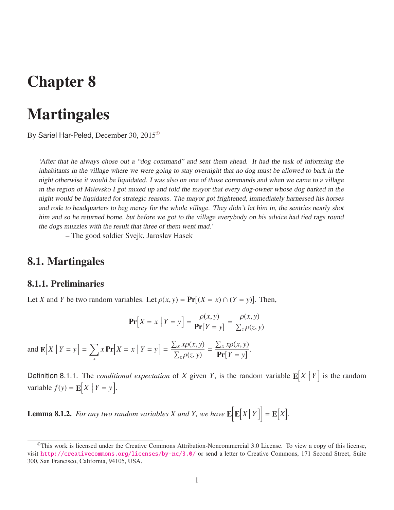# Chapter 8

# **Martingales**

By Sariel Har-Peled, December 30, 2015[①](#page-0-0)

'After that he always chose out <sup>a</sup> "dog command" and sent them ahead. It had the task of informing the inhabitants in the village where we were going to stay overnight that no dog must be allowed to bark in the night otherwise it would be liquidated. <sup>I</sup> was also on one of those commands and when we came to <sup>a</sup> village in the region of Milevsko <sup>I</sup> got mixed up and told the mayor that every dog-owner whose dog barked in the night would be liquidated for strategic reasons. The mayor got frightened, immediately harnessed his horses and rode to headquarters to beg mercy for the whole village. They didn't let him in, the sentries nearly shot him and so he returned home, but before we got to the village everybody on his advice had tied rags round the dogs muzzles with the result that three of them went mad.'

– The good soldier Svejk, Jaroslav Hasek

## 8.1. Martingales

### 8.1.1. Preliminaries

Let *X* and *Y* be two random variables. Let  $\rho(x, y) = \Pr[(X = x) \cap (Y = y)]$ . Then,

$$
\mathbf{Pr}\left[X = x \mid Y = y\right] = \frac{\rho(x, y)}{\mathbf{Pr}[Y = y]} = \frac{\rho(x, y)}{\sum_{z} \rho(z, y)}
$$

and  $\mathbb{E}[X \mid Y = y] = \sum$ *x*  $x \Pr[X = x \mid Y = y] =$  $\frac{\sum_{x} x \rho(x, y)}{\sum_{z} \rho(z, y)}$ =  $\frac{\sum_{x} x \rho(x, y)}{\Pr[Y = y]}$ .

Definition 8.1.1. The *conditional expectation* of *X* given *Y*, is the random variable  $\mathbb{E}[X | Y]$  is the random variable  $f(y) = \mathbb{E}[X \mid Y = y].$ 

**Lemma 8.1.2.** For any two random variables X and Y, we have  $\mathbf{E}[\mathbf{E}[X|Y]] = \mathbf{E}[X].$ 

<span id="page-0-0"></span> $^{\circ}$ This work is licensed under the Creative Commons Attribution-Noncommercial 3.0 License. To view a copy of this license, visit <http://creativecommons.org/licenses/by-nc/3.0/> or send a letter to Creative Commons, 171 Second Street, Suite 300, San Francisco, California, 94105, USA.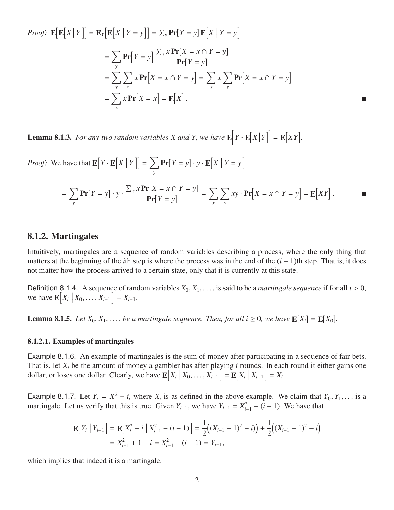Proof: 
$$
\mathbf{E}[\mathbf{E}[X|Y]] = \mathbf{E}_{Y}[\mathbf{E}[X|Y=y]] = \sum_{y} \mathbf{Pr}[Y=y] \mathbf{E}[X|Y=y]
$$
  
\n
$$
= \sum_{y} \mathbf{Pr}[Y=y] \frac{\sum_{x} x \mathbf{Pr}[X=x \cap Y=y]}{\mathbf{Pr}[Y=y]}
$$
\n
$$
= \sum_{y} \sum_{x} x \mathbf{Pr}[X=x \cap Y=y] = \sum_{x} x \sum_{y} \mathbf{Pr}[X=x \cap Y=y]
$$
\n
$$
= \sum_{x} x \mathbf{Pr}[X=x] = \mathbf{E}[X].
$$

<span id="page-1-0"></span>**Lemma 8.1.3.** For any two random variables X and Y, we have  $\mathbf{E}\left[Y \cdot \mathbf{E}[X|Y]\right] = \mathbf{E}[XY]$ .

*Proof:* We have that  $\mathbf{E}[Y \cdot \mathbf{E}[X | Y]] = \sum$ *y*  $\Pr[Y = y] \cdot y \cdot \mathbf{E}[X \mid Y = y]$ 

$$
= \sum_{y} \mathbf{Pr}[Y = y] \cdot y \cdot \frac{\sum_{x} x \mathbf{Pr}[X = x \cap Y = y]}{\mathbf{Pr}[Y = y]} = \sum_{x} \sum_{y} xy \cdot \mathbf{Pr}[X = x \cap Y = y] = \mathbf{E}[XY].
$$

### 8.1.2. Martingales

Intuitively, martingales are a sequence of random variables describing a process, where the only thing that matters at the beginning of the *i*th step is where the process was in the end of the  $(i - 1)$ th step. That is, it does not matter how the process arrived to a certain state, only that it is currently at this state.

Definition 8.1.4. A sequence of random variables  $X_0, X_1, \ldots$ , is said to be a *martingale sequence* if for all  $i > 0$ , we have  $\mathbb{E}[X_i | X_0, \dots, X_{i-1}] = X_{i-1}.$ 

**Lemma 8.1.5.** Let  $X_0, X_1, \ldots$ , be a martingale sequence. Then, for all  $i \ge 0$ , we have  $\mathbb{E}[X_i] = \mathbb{E}[X_0]$ .

#### 8.1.2.1. Examples of martingales

Example 8.1.6. An example of martingales is the sum of money after participating in a sequence of fair bets. That is, let *X<sup>i</sup>* be the amount of money a gambler has after playing *i* rounds. In each round it either gains one dollar, or loses one dollar. Clearly, we have  $\mathbf{E}[X_i | X_0, \dots, X_{i-1}] = \mathbf{E}[X_i | X_{i-1}] = X_i$ .

Example 8.1.7. Let  $Y_i = X_i^2 - i$ , where  $X_i$  is as defined in the above example. We claim that  $Y_0, Y_1, \ldots$  is a martingale. Let us verify that this is true. Given  $Y_{i+1}$  we have  $Y_{i+1} = Y_i^2 - (i-1)$ . We have that martingale. Let us verify that this is true. Given  $Y_{i-1}$ , we have  $Y_{i-1} = X_{i-1}^2 - (i - 1)$ . We have that

$$
\mathbf{E}\Big[Y_i \mid Y_{i-1}\Big] = \mathbf{E}\Big[X_i^2 - i \mid X_{i-1}^2 - (i-1)\Big] = \frac{1}{2}\Big((X_{i-1} + 1)^2 - i)\Big) + \frac{1}{2}\Big((X_{i-1} - 1)^2 - i\Big)
$$
  
=  $X_{i-1}^2 + 1 - i = X_{i-1}^2 - (i-1) = Y_{i-1}$ ,

which implies that indeed it is a martingale.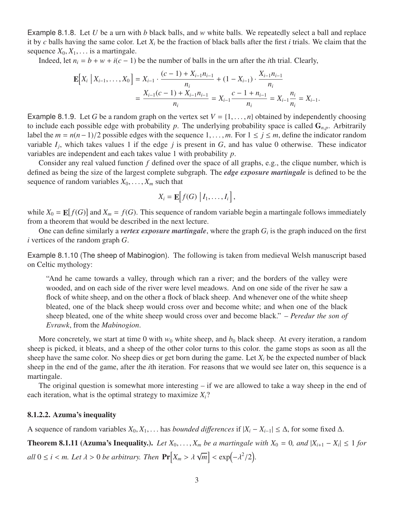Example 8.1.8. Let *U* be a urn with *b* black balls, and *w* white balls. We repeatedly select a ball and replace it by *c* balls having the same color. Let *X<sup>i</sup>* be the fraction of black balls after the first *i* trials. We claim that the sequence  $X_0, X_1, \ldots$  is a martingale.

Indeed, let  $n_i = b + w + i(c - 1)$  be the number of balls in the urn after the *i*th trial. Clearly,

$$
\mathbf{E}\Big[X_i \mid X_{i-1}, \dots, X_0\Big] = X_{i-1} \cdot \frac{(c-1) + X_{i-1}n_{i-1}}{n_i} + (1 - X_{i-1}) \cdot \frac{X_{i-1}n_{i-1}}{n_i}
$$
  
= 
$$
\frac{X_{i-1}(c-1) + X_{i-1}n_{i-1}}{n_i} = X_{i-1} \frac{c-1 + n_{i-1}}{n_i} = X_{i-1} \frac{n_i}{n_i} = X_{i-1}.
$$

Example 8.1.9. Let *G* be a random graph on the vertex set  $V = \{1, \ldots, n\}$  obtained by independently choosing to include each possible edge with probability  $p$ . The underlying probability space is called  $G_{n,p}$ . Arbitrarily label the  $m = n(n-1)/2$  possible edges with the sequence 1, ..., *m*. For 1 ≤ *j* ≤ *m*, define the indicator random variable  $I_j$ , which takes values 1 if the edge  $j$  is present in  $G$ , and has value 0 otherwise. These indicator variables are independent and each takes value 1 with probability *p*.

Consider any real valued function *f* defined over the space of all graphs, e.g., the clique number, which is defined as being the size of the largest complete subgraph. The *edge exposure martingale* is defined to be the sequence of random variables  $X_0, \ldots, X_m$  such that

$$
X_i = \mathbf{E}\Big[ f(G) | I_1, \ldots, I_i \Big],
$$

while  $X_0 = \mathbb{E}[f(G)]$  and  $X_m = f(G)$ . This sequence of random variable begin a martingale follows immediately from a theorem that would be described in the next lecture.

One can define similarly a *vertex exposure martingale*, where the graph  $G_i$  is the graph induced on the first *i* vertices of the random graph *G*.

Example 8.1.10 (The sheep of Mabinogion). The following is taken from medieval Welsh manuscript based on Celtic mythology:

"And he came towards a valley, through which ran a river; and the borders of the valley were wooded, and on each side of the river were level meadows. And on one side of the river he saw a flock of white sheep, and on the other a flock of black sheep. And whenever one of the white sheep bleated, one of the black sheep would cross over and become white; and when one of the black sheep bleated, one of the white sheep would cross over and become black." – *Peredur the son of Evrawk*, from the *Mabinogion*.

More concretely, we start at time 0 with  $w_0$  white sheep, and  $b_0$  black sheep. At every iteration, a random sheep is picked, it bleats, and a sheep of the other color turns to this color. the game stops as soon as all the sheep have the same color. No sheep dies or get born during the game. Let  $X_i$  be the expected number of black sheep in the end of the game, after the *i*th iteration. For reasons that we would see later on, this sequence is a martingale.

The original question is somewhat more interesting – if we are allowed to take a way sheep in the end of each iteration, what is the optimal strategy to maximize  $X_i$ ?

#### 8.1.2.2. Azuma's inequality

A sequence of random variables  $X_0, X_1, \ldots$  has *bounded differences* if  $|X_i - X_{i-1}| \leq \Delta$ , for some fixed  $\Delta$ .

**Theorem 8.1.11 (Azuma's Inequality.).** *Let*  $X_0$ , . . . ,  $X_m$  *be a martingale with*  $X_0 = 0$ *, and*  $|X_{i+1} - X_i|$  ≤ 1 *for*  $all$  0  $\leq$  *i*  $<$  *m.* Let  $\lambda$  > 0 *be arbitrary. Then*  $Pr[X_m > \lambda \sqrt{m}]$  $\boxed{m}$  < exp( $-\lambda^2/2$ )